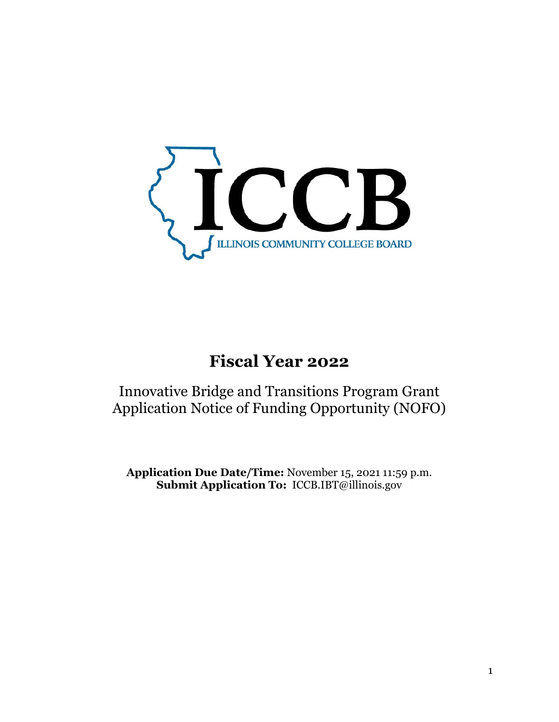

# **Fiscal Year 2022**

Innovative Bridge and Transitions Program Grant Application Notice of Funding Opportunity (NOFO)

**Application Due Date/Time:** November 15, 2021 11:59 p.m. **Submit Application To:** ICCB.IBT@illinois.gov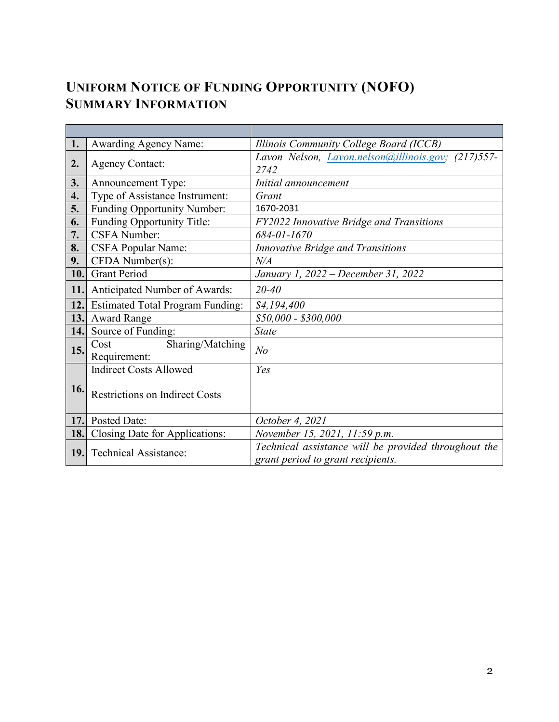# **UNIFORM NOTICE OF FUNDING OPPORTUNITY (NOFO) SUMMARY INFORMATION**

| <b>Awarding Agency Name:</b>            | Illinois Community College Board (ICCB)                                                                                                                                                            |  |
|-----------------------------------------|----------------------------------------------------------------------------------------------------------------------------------------------------------------------------------------------------|--|
| 2.                                      | Lavon Nelson, <i>Lavon.nelson</i> ( <i>a)illinois.gov</i> ; (217)557-                                                                                                                              |  |
|                                         | 2742                                                                                                                                                                                               |  |
| Announcement Type:                      | Initial announcement                                                                                                                                                                               |  |
| Type of Assistance Instrument:          | Grant                                                                                                                                                                                              |  |
| Funding Opportunity Number:             | 1670-2031                                                                                                                                                                                          |  |
| Funding Opportunity Title:              | FY2022 Innovative Bridge and Transitions                                                                                                                                                           |  |
| <b>CSFA Number:</b>                     | 684-01-1670                                                                                                                                                                                        |  |
| <b>CSFA Popular Name:</b>               | Innovative Bridge and Transitions                                                                                                                                                                  |  |
| CFDA Number(s):                         | N/A                                                                                                                                                                                                |  |
| <b>Grant Period</b>                     | January 1, 2022 – December 31, 2022                                                                                                                                                                |  |
| Anticipated Number of Awards:           | $20 - 40$                                                                                                                                                                                          |  |
| <b>Estimated Total Program Funding:</b> | \$4,194,400                                                                                                                                                                                        |  |
| <b>Award Range</b><br>13.               | \$50,000 - \$300,000                                                                                                                                                                               |  |
| Source of Funding:<br>14.               | <b>State</b>                                                                                                                                                                                       |  |
| Sharing/Matching<br>Cost<br>15.         | N <sub>o</sub>                                                                                                                                                                                     |  |
|                                         |                                                                                                                                                                                                    |  |
|                                         | Yes                                                                                                                                                                                                |  |
|                                         |                                                                                                                                                                                                    |  |
|                                         |                                                                                                                                                                                                    |  |
|                                         | October 4, 2021                                                                                                                                                                                    |  |
|                                         | November 15, 2021, 11:59 p.m.                                                                                                                                                                      |  |
| 18.                                     | Technical assistance will be provided throughout the                                                                                                                                               |  |
| 19.                                     | grant period to grant recipients.                                                                                                                                                                  |  |
| 16.                                     | <b>Agency Contact:</b><br>Requirement:<br><b>Indirect Costs Allowed</b><br><b>Restrictions on Indirect Costs</b><br>Posted Date:<br>Closing Date for Applications:<br><b>Technical Assistance:</b> |  |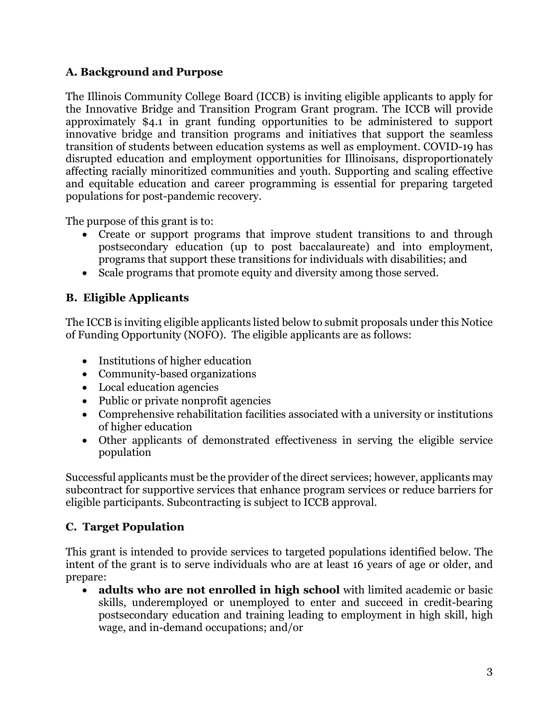# **A. Background and Purpose**

The Illinois Community College Board (ICCB) is inviting eligible applicants to apply for the Innovative Bridge and Transition Program Grant program. The ICCB will provide approximately \$4.1 in grant funding opportunities to be administered to support innovative bridge and transition programs and initiatives that support the seamless transition of students between education systems as well as employment. COVID-19 has disrupted education and employment opportunities for Illinoisans, disproportionately affecting racially minoritized communities and youth. Supporting and scaling effective and equitable education and career programming is essential for preparing targeted populations for post-pandemic recovery.

The purpose of this grant is to:

- Create or support programs that improve student transitions to and through postsecondary education (up to post baccalaureate) and into employment, programs that support these transitions for individuals with disabilities; and
- Scale programs that promote equity and diversity among those served.

# **B. Eligible Applicants**

The ICCB is inviting eligible applicants listed below to submit proposals under this Notice of Funding Opportunity (NOFO). The eligible applicants are as follows:

- Institutions of higher education
- Community-based organizations
- Local education agencies
- Public or private nonprofit agencies
- Comprehensive rehabilitation facilities associated with a university or institutions of higher education
- Other applicants of demonstrated effectiveness in serving the eligible service population

Successful applicants must be the provider of the direct services; however, applicants may subcontract for supportive services that enhance program services or reduce barriers for eligible participants. Subcontracting is subject to ICCB approval.

# **C. Target Population**

This grant is intended to provide services to targeted populations identified below. The intent of the grant is to serve individuals who are at least 16 years of age or older, and prepare:

• **adults who are not enrolled in high school** with limited academic or basic skills, underemployed or unemployed to enter and succeed in credit-bearing postsecondary education and training leading to employment in high skill, high wage, and in-demand occupations; and/or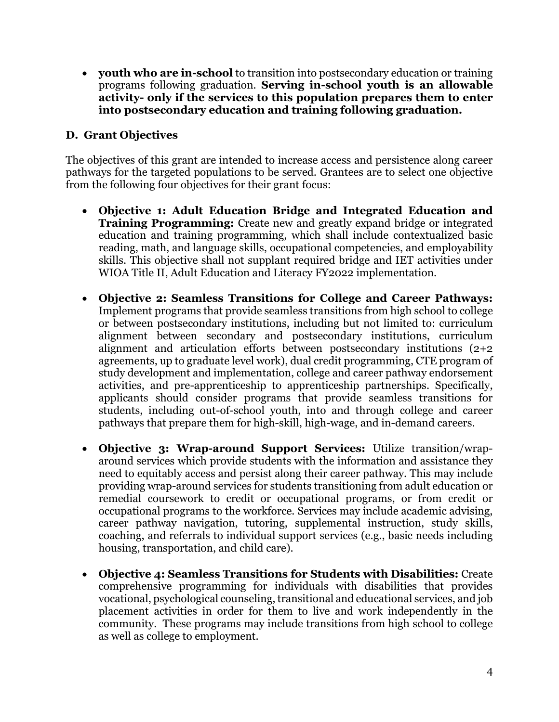• **youth who are in-school** to transition into postsecondary education or training programs following graduation. **Serving in-school youth is an allowable activity- only if the services to this population prepares them to enter into postsecondary education and training following graduation.** 

## **D. Grant Objectives**

The objectives of this grant are intended to increase access and persistence along career pathways for the targeted populations to be served. Grantees are to select one objective from the following four objectives for their grant focus:

- **Objective 1: Adult Education Bridge and Integrated Education and Training Programming:** Create new and greatly expand bridge or integrated education and training programming, which shall include contextualized basic reading, math, and language skills, occupational competencies, and employability skills. This objective shall not supplant required bridge and IET activities under WIOA Title II, Adult Education and Literacy FY2022 implementation.
- **Objective 2: Seamless Transitions for College and Career Pathways:** Implement programs that provide seamless transitions from high school to college or between postsecondary institutions, including but not limited to: curriculum alignment between secondary and postsecondary institutions, curriculum alignment and articulation efforts between postsecondary institutions (2+2 agreements, up to graduate level work), dual credit programming, CTE program of study development and implementation, college and career pathway endorsement activities, and pre-apprenticeship to apprenticeship partnerships. Specifically, applicants should consider programs that provide seamless transitions for students, including out-of-school youth, into and through college and career pathways that prepare them for high-skill, high-wage, and in-demand careers.
- **Objective 3: Wrap-around Support Services:** Utilize transition/wraparound services which provide students with the information and assistance they need to equitably access and persist along their career pathway. This may include providing wrap-around services for students transitioning from adult education or remedial coursework to credit or occupational programs, or from credit or occupational programs to the workforce. Services may include academic advising, career pathway navigation, tutoring, supplemental instruction, study skills, coaching, and referrals to individual support services (e.g., basic needs including housing, transportation, and child care).
- **Objective 4: Seamless Transitions for Students with Disabilities:** Create comprehensive programming for individuals with disabilities that provides vocational, psychological counseling, transitional and educational services, and job placement activities in order for them to live and work independently in the community. These programs may include transitions from high school to college as well as college to employment.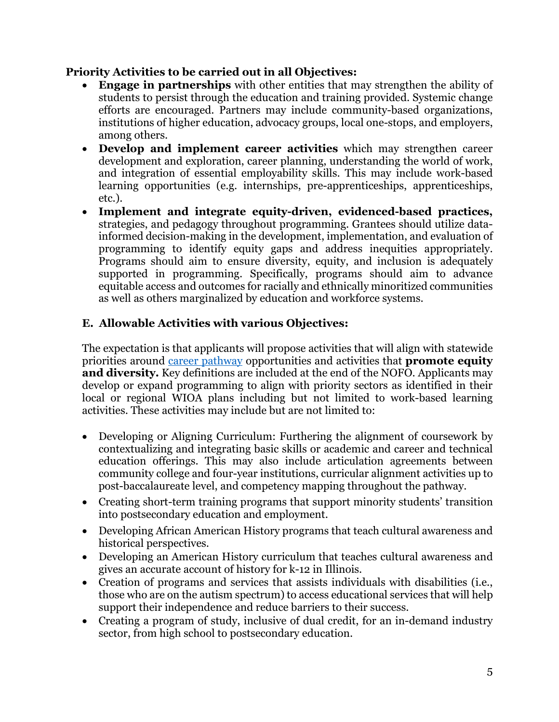## **Priority Activities to be carried out in all Objectives:**

- **Engage in partnerships** with other entities that may strengthen the ability of students to persist through the education and training provided. Systemic change efforts are encouraged. Partners may include community-based organizations, institutions of higher education, advocacy groups, local one-stops, and employers, among others.
- **Develop and implement career activities** which may strengthen career development and exploration, career planning, understanding the world of work, and integration of essential employability skills. This may include work-based learning opportunities (e.g. internships, pre-apprenticeships, apprenticeships, etc.).
- **Implement and integrate equity-driven, evidenced-based practices,**  strategies, and pedagogy throughout programming. Grantees should utilize datainformed decision-making in the development, implementation, and evaluation of programming to identify equity gaps and address inequities appropriately. Programs should aim to ensure diversity, equity, and inclusion is adequately supported in programming. Specifically, programs should aim to advance equitable access and outcomes for racially and ethnically minoritized communities as well as others marginalized by education and workforce systems.

## **E. Allowable Activities with various Objectives:**

The expectation is that applicants will propose activities that will align with statewide priorities around [career pathway](http://www.iccb.org/cte/wp-content/uploads/2018/01/Statewide-Career-Pathway-Definition-as-adopted-by-the-ICCB-on-Dec-1.pdf) opportunities and activities that **promote equity and diversity.** Key definitions are included at the end of the NOFO. Applicants may develop or expand programming to align with priority sectors as identified in their local or regional WIOA plans including but not limited to work-based learning activities. These activities may include but are not limited to:

- Developing or Aligning Curriculum: Furthering the alignment of coursework by contextualizing and integrating basic skills or academic and career and technical education offerings. This may also include articulation agreements between community college and four-year institutions, curricular alignment activities up to post-baccalaureate level, and competency mapping throughout the pathway.
- Creating short-term training programs that support minority students' transition into postsecondary education and employment.
- Developing African American History programs that teach cultural awareness and historical perspectives.
- Developing an American History curriculum that teaches cultural awareness and gives an accurate account of history for k-12 in Illinois.
- Creation of programs and services that assists individuals with disabilities (i.e., those who are on the autism spectrum) to access educational services that will help support their independence and reduce barriers to their success.
- Creating a program of study, inclusive of dual credit, for an in-demand industry sector, from high school to postsecondary education.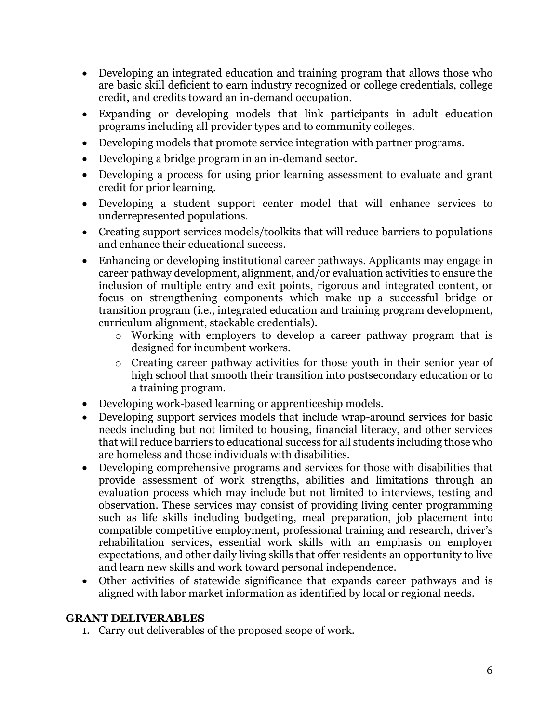- Developing an integrated education and training program that allows those who are basic skill deficient to earn industry recognized or college credentials, college credit, and credits toward an in-demand occupation.
- Expanding or developing models that link participants in adult education programs including all provider types and to community colleges.
- Developing models that promote service integration with partner programs.
- Developing a bridge program in an in-demand sector.
- Developing a process for using prior learning assessment to evaluate and grant credit for prior learning.
- Developing a student support center model that will enhance services to underrepresented populations.
- Creating support services models/toolkits that will reduce barriers to populations and enhance their educational success.
- Enhancing or developing institutional career pathways. Applicants may engage in career pathway development, alignment, and/or evaluation activities to ensure the inclusion of multiple entry and exit points, rigorous and integrated content, or focus on strengthening components which make up a successful bridge or transition program (i.e., integrated education and training program development, curriculum alignment, stackable credentials).
	- o Working with employers to develop a career pathway program that is designed for incumbent workers.
	- o Creating career pathway activities for those youth in their senior year of high school that smooth their transition into postsecondary education or to a training program.
- Developing work-based learning or apprenticeship models.
- Developing support services models that include wrap-around services for basic needs including but not limited to housing, financial literacy, and other services that will reduce barriers to educational success for all students including those who are homeless and those individuals with disabilities.
- Developing comprehensive programs and services for those with disabilities that provide assessment of work strengths, abilities and limitations through an evaluation process which may include but not limited to interviews, testing and observation. These services may consist of providing living center programming such as life skills including budgeting, meal preparation, job placement into compatible competitive employment, professional training and research, driver's rehabilitation services, essential work skills with an emphasis on employer expectations, and other daily living skills that offer residents an opportunity to live and learn new skills and work toward personal independence.
- Other activities of statewide significance that expands career pathways and is aligned with labor market information as identified by local or regional needs.

#### **GRANT DELIVERABLES**

1. Carry out deliverables of the proposed scope of work.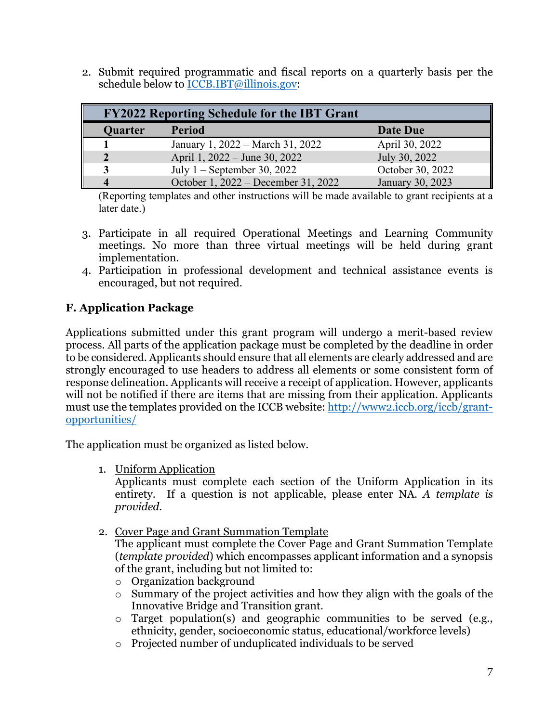2. Submit required programmatic and fiscal reports on a quarterly basis per the schedule below to **ICCB.IBT**@illinois.gov:

| <b>FY2022 Reporting Schedule for the IBT Grant</b> |                                     |                  |
|----------------------------------------------------|-------------------------------------|------------------|
| <b>Quarter</b>                                     | <b>Period</b>                       | Date Due         |
|                                                    | January 1, 2022 – March 31, 2022    | April 30, 2022   |
|                                                    | April 1, 2022 – June 30, 2022       | July 30, 2022    |
|                                                    | July $1$ – September 30, 2022       | October 30, 2022 |
|                                                    | October 1, 2022 – December 31, 2022 | January 30, 2023 |

(Reporting templates and other instructions will be made available to grant recipients at a later date.)

- 3. Participate in all required Operational Meetings and Learning Community meetings. No more than three virtual meetings will be held during grant implementation.
- 4. Participation in professional development and technical assistance events is encouraged, but not required.

# **F. Application Package**

Applications submitted under this grant program will undergo a merit-based review process. All parts of the application package must be completed by the deadline in order to be considered. Applicants should ensure that all elements are clearly addressed and are strongly encouraged to use headers to address all elements or some consistent form of response delineation. Applicants will receive a receipt of application. However, applicants will not be notified if there are items that are missing from their application. Applicants must use the templates provided on the ICCB website: [http://www2.iccb.org/iccb/grant](http://www2.iccb.org/iccb/grant-opportunities/)[opportunities/](http://www2.iccb.org/iccb/grant-opportunities/)

The application must be organized as listed below.

1. Uniform Application

Applicants must complete each section of the Uniform Application in its entirety. If a question is not applicable, please enter NA. *A template is provided.*

2. Cover Page and Grant Summation Template

The applicant must complete the Cover Page and Grant Summation Template (*template provided*) which encompasses applicant information and a synopsis of the grant, including but not limited to:

- o Organization background
- o Summary of the project activities and how they align with the goals of the Innovative Bridge and Transition grant.
- o Target population(s) and geographic communities to be served (e.g., ethnicity, gender, socioeconomic status, educational/workforce levels)
- o Projected number of unduplicated individuals to be served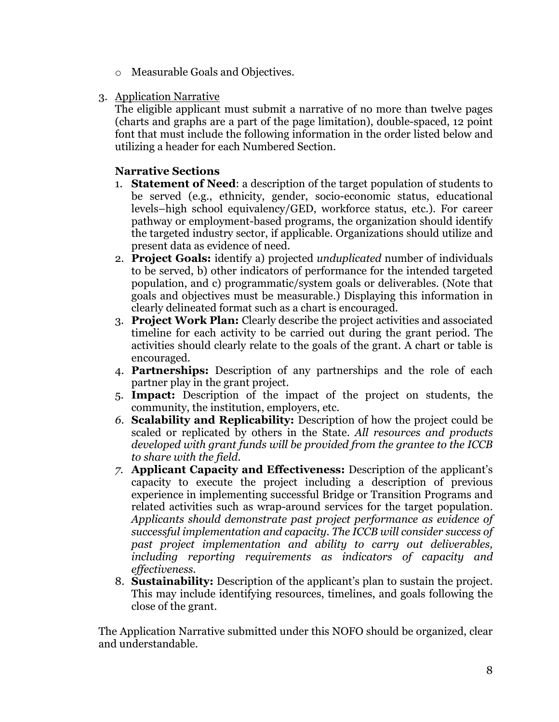- o Measurable Goals and Objectives.
- 3. Application Narrative

The eligible applicant must submit a narrative of no more than twelve pages (charts and graphs are a part of the page limitation), double-spaced, 12 point font that must include the following information in the order listed below and utilizing a header for each Numbered Section.

## **Narrative Sections**

- 1. **Statement of Need**: a description of the target population of students to be served (e.g., ethnicity, gender, socio-economic status, educational levels–high school equivalency/GED, workforce status, etc.). For career pathway or employment-based programs, the organization should identify the targeted industry sector, if applicable. Organizations should utilize and present data as evidence of need.
- 2. **Project Goals:** identify a) projected *unduplicated* number of individuals to be served, b) other indicators of performance for the intended targeted population, and c) programmatic/system goals or deliverables. (Note that goals and objectives must be measurable.) Displaying this information in clearly delineated format such as a chart is encouraged.
- 3. **Project Work Plan:** Clearly describe the project activities and associated timeline for each activity to be carried out during the grant period. The activities should clearly relate to the goals of the grant. A chart or table is encouraged.
- 4. **Partnerships:** Description of any partnerships and the role of each partner play in the grant project.
- 5. **Impact:** Description of the impact of the project on students, the community, the institution, employers, etc.
- *6.* **Scalability and Replicability:** Description of how the project could be scaled or replicated by others in the State. *All resources and products developed with grant funds will be provided from the grantee to the ICCB to share with the field.*
- *7.* **Applicant Capacity and Effectiveness:** Description of the applicant's capacity to execute the project including a description of previous experience in implementing successful Bridge or Transition Programs and related activities such as wrap-around services for the target population. *Applicants should demonstrate past project performance as evidence of successful implementation and capacity. The ICCB will consider success of past project implementation and ability to carry out deliverables, including reporting requirements as indicators of capacity and effectiveness.*
- 8. **Sustainability:** Description of the applicant's plan to sustain the project. This may include identifying resources, timelines, and goals following the close of the grant.

The Application Narrative submitted under this NOFO should be organized, clear and understandable.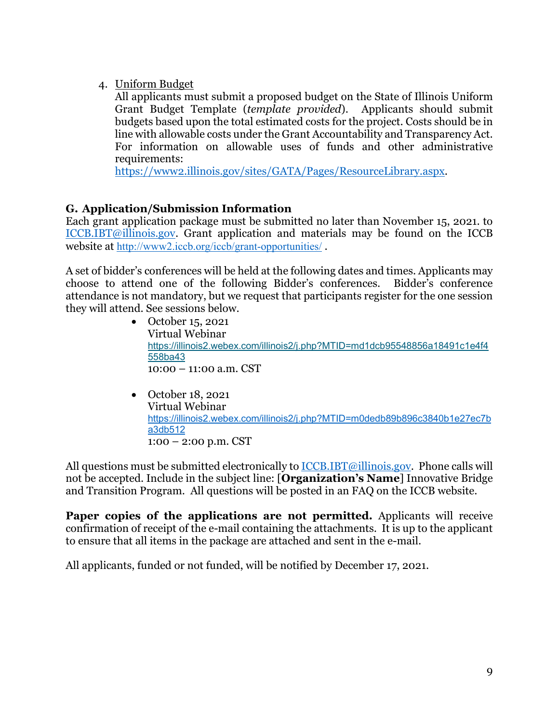4. Uniform Budget

All applicants must submit a proposed budget on the State of Illinois Uniform Grant Budget Template (*template provided*). Applicants should submit budgets based upon the total estimated costs for the project. Costs should be in line with allowable costs under the Grant Accountability and Transparency Act. For information on allowable uses of funds and other administrative requirements:

[https://www2.illinois.gov/sites/GATA/Pages/ResourceLibrary.aspx.](https://www2.illinois.gov/sites/GATA/Pages/ResourceLibrary.aspx)

# **G. Application/Submission Information**

Each grant application package must be submitted no later than November 15, 2021. to [ICCB.IBT@illinois.gov.](mailto:ICCB.IBT@illinois.gov) Grant application and materials may be found on the ICCB website at <http://www2.iccb.org/iccb/grant-opportunities/> .

A set of bidder's conferences will be held at the following dates and times. Applicants may choose to attend one of the following Bidder's conferences. Bidder's conference attendance is not mandatory, but we request that participants register for the one session they will attend. See sessions below.

- October 15, 2021 Virtual Webinar [https://illinois2.webex.com/illinois2/j.php?MTID=md1dcb95548856a18491c1e4f4](https://illinois2.webex.com/illinois2/j.php?MTID=md1dcb95548856a18491c1e4f4558ba43) [558ba43](https://illinois2.webex.com/illinois2/j.php?MTID=md1dcb95548856a18491c1e4f4558ba43) 10:00 – 11:00 a.m. CST
- October 18, 2021 Virtual Webinar [https://illinois2.webex.com/illinois2/j.php?MTID=m0dedb89b896c3840b1e27ec7b](https://illinois2.webex.com/illinois2/j.php?MTID=m0dedb89b896c3840b1e27ec7ba3db512) [a3db512](https://illinois2.webex.com/illinois2/j.php?MTID=m0dedb89b896c3840b1e27ec7ba3db512) 1:00 – 2:00 p.m. CST

All questions must be submitted electronically to  $ICCB.IBT@$ illinois.gov. Phone calls will not be accepted. Include in the subject line: [**Organization's Name**] Innovative Bridge and Transition Program. All questions will be posted in an FAQ on the ICCB website.

**Paper copies of the applications are not permitted.** Applicants will receive confirmation of receipt of the e-mail containing the attachments. It is up to the applicant to ensure that all items in the package are attached and sent in the e-mail.

All applicants, funded or not funded, will be notified by December 17, 2021.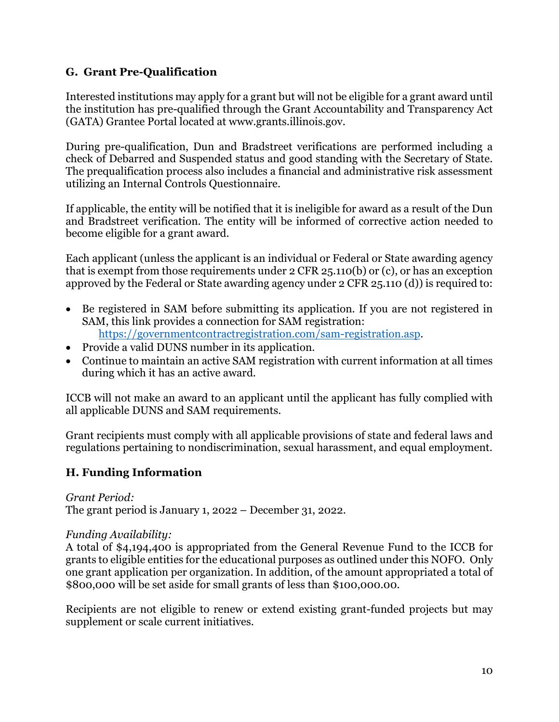## **G. Grant Pre-Qualification**

Interested institutions may apply for a grant but will not be eligible for a grant award until the institution has pre-qualified through the Grant Accountability and Transparency Act (GATA) Grantee Portal located at www.grants.illinois.gov.

During pre-qualification, Dun and Bradstreet verifications are performed including a check of Debarred and Suspended status and good standing with the Secretary of State. The prequalification process also includes a financial and administrative risk assessment utilizing an Internal Controls Questionnaire.

If applicable, the entity will be notified that it is ineligible for award as a result of the Dun and Bradstreet verification. The entity will be informed of corrective action needed to become eligible for a grant award.

Each applicant (unless the applicant is an individual or Federal or State awarding agency that is exempt from those requirements under 2 CFR 25.110(b) or (c), or has an exception approved by the Federal or State awarding agency under 2 CFR 25.110 (d)) is required to:

- Be registered in SAM before submitting its application. If you are not registered in SAM, this link provides a connection for SAM registration: [https://governmentcontractregistration.com/sam-registration.asp.](https://governmentcontractregistration.com/sam-registration.asp)
- Provide a valid DUNS number in its application.
- Continue to maintain an active SAM registration with current information at all times during which it has an active award.

ICCB will not make an award to an applicant until the applicant has fully complied with all applicable DUNS and SAM requirements.

Grant recipients must comply with all applicable provisions of state and federal laws and regulations pertaining to nondiscrimination, sexual harassment, and equal employment.

## **H. Funding Information**

## *Grant Period:*

The grant period is January 1, 2022 – December 31, 2022.

#### *Funding Availability:*

A total of \$4,194,400 is appropriated from the General Revenue Fund to the ICCB for grants to eligible entities for the educational purposes as outlined under this NOFO. Only one grant application per organization. In addition, of the amount appropriated a total of \$800,000 will be set aside for small grants of less than \$100,000.00.

Recipients are not eligible to renew or extend existing grant-funded projects but may supplement or scale current initiatives.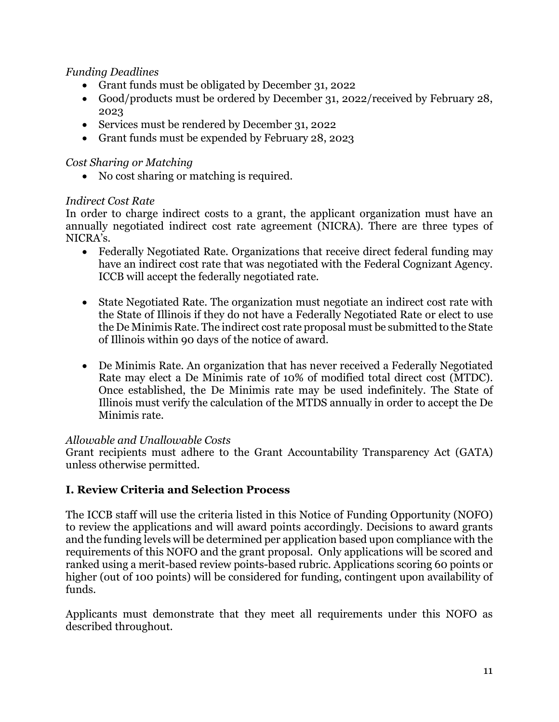## *Funding Deadlines*

- Grant funds must be obligated by December 31, 2022
- Good/products must be ordered by December 31, 2022/received by February 28, 2023
- Services must be rendered by December 31, 2022
- Grant funds must be expended by February 28, 2023

#### *Cost Sharing or Matching*

• No cost sharing or matching is required.

### *Indirect Cost Rate*

In order to charge indirect costs to a grant, the applicant organization must have an annually negotiated indirect cost rate agreement (NICRA). There are three types of NICRA's.

- Federally Negotiated Rate. Organizations that receive direct federal funding may have an indirect cost rate that was negotiated with the Federal Cognizant Agency. ICCB will accept the federally negotiated rate.
- State Negotiated Rate. The organization must negotiate an indirect cost rate with the State of Illinois if they do not have a Federally Negotiated Rate or elect to use the De Minimis Rate. The indirect cost rate proposal must be submitted to the State of Illinois within 90 days of the notice of award.
- De Minimis Rate. An organization that has never received a Federally Negotiated Rate may elect a De Minimis rate of 10% of modified total direct cost (MTDC). Once established, the De Minimis rate may be used indefinitely. The State of Illinois must verify the calculation of the MTDS annually in order to accept the De Minimis rate.

#### *Allowable and Unallowable Costs*

Grant recipients must adhere to the Grant Accountability Transparency Act (GATA) unless otherwise permitted.

## **I. Review Criteria and Selection Process**

The ICCB staff will use the criteria listed in this Notice of Funding Opportunity (NOFO) to review the applications and will award points accordingly. Decisions to award grants and the funding levels will be determined per application based upon compliance with the requirements of this NOFO and the grant proposal. Only applications will be scored and ranked using a merit-based review points-based rubric. Applications scoring 60 points or higher (out of 100 points) will be considered for funding, contingent upon availability of funds.

Applicants must demonstrate that they meet all requirements under this NOFO as described throughout.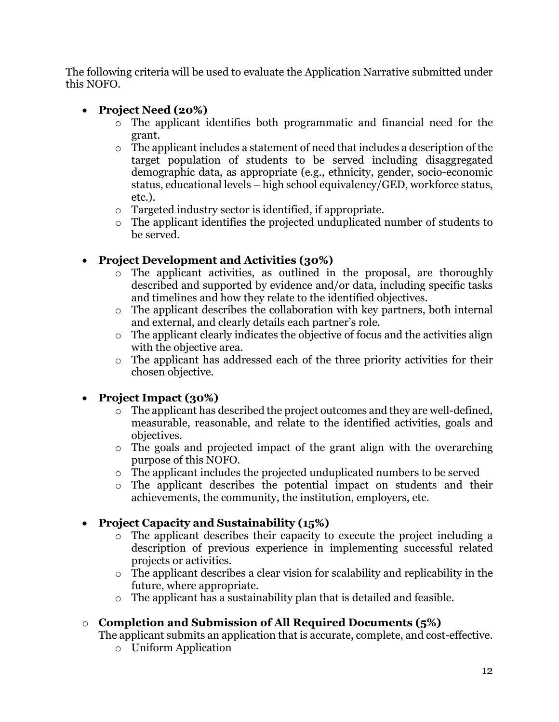The following criteria will be used to evaluate the Application Narrative submitted under this NOFO.

# • **Project Need (20%)**

- o The applicant identifies both programmatic and financial need for the grant.
- o The applicant includes a statement of need that includes a description of the target population of students to be served including disaggregated demographic data, as appropriate (e.g., ethnicity, gender, socio-economic status, educational levels – high school equivalency/GED, workforce status, etc.).
- o Targeted industry sector is identified, if appropriate.
- o The applicant identifies the projected unduplicated number of students to be served.

# • **Project Development and Activities (30%)**

- o The applicant activities, as outlined in the proposal, are thoroughly described and supported by evidence and/or data, including specific tasks and timelines and how they relate to the identified objectives.
- o The applicant describes the collaboration with key partners, both internal and external, and clearly details each partner's role.
- o The applicant clearly indicates the objective of focus and the activities align with the objective area.
- o The applicant has addressed each of the three priority activities for their chosen objective.

# • **Project Impact (30%)**

- o The applicant has described the project outcomes and they are well-defined, measurable, reasonable, and relate to the identified activities, goals and objectives.
- o The goals and projected impact of the grant align with the overarching purpose of this NOFO.
- o The applicant includes the projected unduplicated numbers to be served
- o The applicant describes the potential impact on students and their achievements, the community, the institution, employers, etc.

# • **Project Capacity and Sustainability (15%)**

- o The applicant describes their capacity to execute the project including a description of previous experience in implementing successful related projects or activities.
- o The applicant describes a clear vision for scalability and replicability in the future, where appropriate.
- o The applicant has a sustainability plan that is detailed and feasible.

# o **Completion and Submission of All Required Documents (5%)**

The applicant submits an application that is accurate, complete, and cost-effective.

o Uniform Application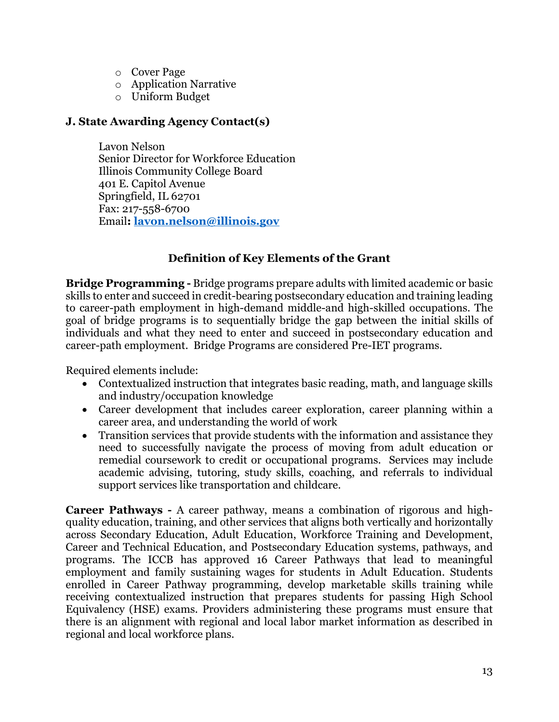- o Cover Page
- o Application Narrative
- o Uniform Budget

## **J. State Awarding Agency Contact(s)**

Lavon Nelson Senior Director for Workforce Education Illinois Community College Board 401 E. Capitol Avenue Springfield, IL 62701 Fax: 217-558-6700 Email**: [lavon.nelson@illinois.gov](mailto:lavon.nelson@illinois.gov)**

## **Definition of Key Elements of the Grant**

**Bridge Programming -** Bridge programs prepare adults with limited academic or basic skills to enter and succeed in credit-bearing postsecondary education and training leading to career-path employment in high-demand middle-and high-skilled occupations. The goal of bridge programs is to sequentially bridge the gap between the initial skills of individuals and what they need to enter and succeed in postsecondary education and career-path employment. Bridge Programs are considered Pre-IET programs.

Required elements include:

- Contextualized instruction that integrates basic reading, math, and language skills and industry/occupation knowledge
- Career development that includes career exploration, career planning within a career area, and understanding the world of work
- Transition services that provide students with the information and assistance they need to successfully navigate the process of moving from adult education or remedial coursework to credit or occupational programs. Services may include academic advising, tutoring, study skills, coaching, and referrals to individual support services like transportation and childcare.

**Career Pathways -** A career pathway, means a combination of rigorous and highquality education, training, and other services that aligns both vertically and horizontally across Secondary Education, Adult Education, Workforce Training and Development, Career and Technical Education, and Postsecondary Education systems, pathways, and programs. The ICCB has approved 16 Career Pathways that lead to meaningful employment and family sustaining wages for students in Adult Education. Students enrolled in Career Pathway programming, develop marketable skills training while receiving contextualized instruction that prepares students for passing High School Equivalency (HSE) exams. Providers administering these programs must ensure that there is an alignment with regional and local labor market information as described in regional and local workforce plans.